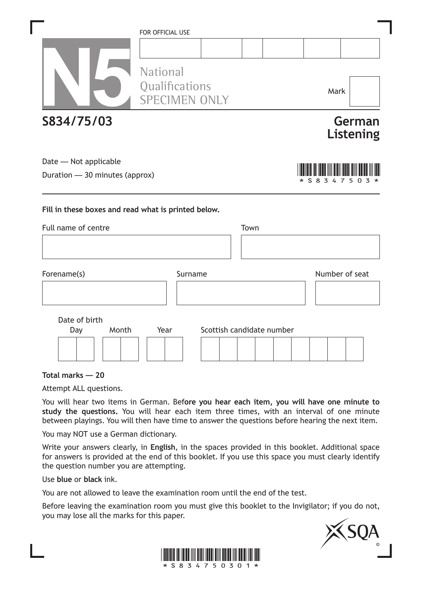|                                                                            | FOR OFFICIAL USE                                          |         |  |      |                           |               |      |                     |  |
|----------------------------------------------------------------------------|-----------------------------------------------------------|---------|--|------|---------------------------|---------------|------|---------------------|--|
|                                                                            | <b>National</b><br>Qualifications<br><b>SPECIMEN ONLY</b> |         |  |      |                           |               | Mark |                     |  |
| S834/75/03                                                                 |                                                           |         |  |      |                           |               |      | German<br>Listening |  |
| Date - Not applicable<br>Duration - 30 minutes (approx)                    |                                                           |         |  |      |                           | S 8 3 4 7 5 0 |      |                     |  |
| Fill in these boxes and read what is printed below.<br>Full name of centre |                                                           |         |  | Town |                           |               |      |                     |  |
|                                                                            |                                                           |         |  |      |                           |               |      |                     |  |
| Forename(s)                                                                |                                                           | Surname |  |      |                           |               |      | Number of seat      |  |
| Date of birth<br>Month<br>Day                                              | Year                                                      |         |  |      | Scottish candidate number |               |      |                     |  |
|                                                                            |                                                           |         |  |      |                           |               |      |                     |  |

**Total marks — 20**

Attempt ALL questions.

You will hear two items in German. Bef**ore you hear each item, you will have one minute to study the questions.** You will hear each item three times, with an interval of one minute between playings. You will then have time to answer the questions before hearing the next item.

You may NOT use a German dictionary.

Write your answers clearly, in **English**, in the spaces provided in this booklet. Additional space for answers is provided at the end of this booklet. If you use this space you must clearly identify the question number you are attempting.

Use **blue** or **black** ink.

You are not allowed to leave the examination room until the end of the test.

Before leaving the examination room you must give this booklet to the Invigilator; if you do not, you may lose all the marks for this paper.



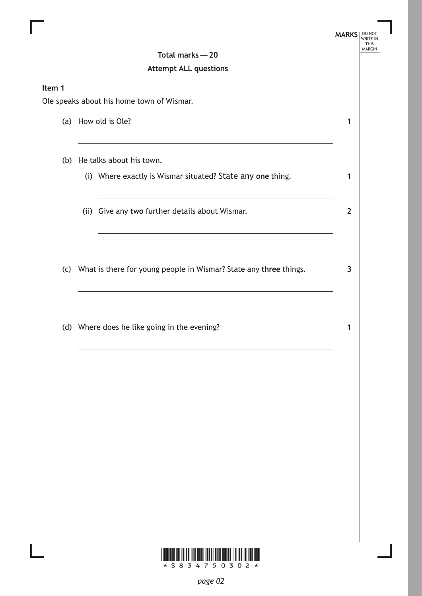|        |                                                                   | <b>MARKS</b> | DO NOT<br><b>WRITE IN</b><br>THIS |
|--------|-------------------------------------------------------------------|--------------|-----------------------------------|
|        | Total marks - 20                                                  |              | <b>MARGIN</b>                     |
|        | <b>Attempt ALL questions</b>                                      |              |                                   |
| Item 1 |                                                                   |              |                                   |
|        |                                                                   |              |                                   |
|        | Ole speaks about his home town of Wismar.                         |              |                                   |
|        | (a) How old is Ole?                                               | 1            |                                   |
|        |                                                                   |              |                                   |
|        |                                                                   |              |                                   |
| (b)    | He talks about his town.                                          |              |                                   |
|        | (i) Where exactly is Wismar situated? State any one thing.        | 1            |                                   |
|        |                                                                   |              |                                   |
|        | (ii) Give any two further details about Wismar.                   | $\mathbf{2}$ |                                   |
|        |                                                                   |              |                                   |
|        |                                                                   |              |                                   |
|        |                                                                   |              |                                   |
| (c)    | What is there for young people in Wismar? State any three things. | 3            |                                   |
|        |                                                                   |              |                                   |
|        |                                                                   |              |                                   |
|        |                                                                   |              |                                   |
|        | (d) Where does he like going in the evening?                      | 1            |                                   |
|        |                                                                   |              |                                   |



 $\mathbf{L}$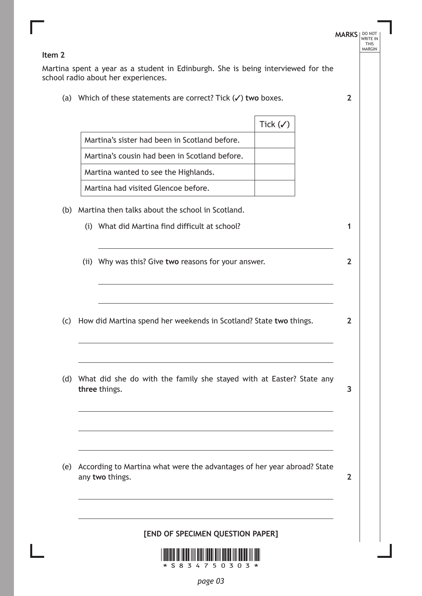|     | school radio about her experiences.                                                       |                     |                |
|-----|-------------------------------------------------------------------------------------------|---------------------|----------------|
|     | (a) Which of these statements are correct? Tick $(\checkmark)$ two boxes.                 |                     | $\mathbf{2}$   |
|     |                                                                                           | Tick $(\checkmark)$ |                |
|     | Martina's sister had been in Scotland before.                                             |                     |                |
|     | Martina's cousin had been in Scotland before.                                             |                     |                |
|     | Martina wanted to see the Highlands.                                                      |                     |                |
|     | Martina had visited Glencoe before.                                                       |                     |                |
| (b) | Martina then talks about the school in Scotland.                                          |                     |                |
|     | What did Martina find difficult at school?<br>(i)                                         |                     | 1              |
|     | (ii) Why was this? Give two reasons for your answer.                                      |                     | $\overline{2}$ |
| (c) | How did Martina spend her weekends in Scotland? State two things.                         |                     | $\mathbf{2}$   |
|     | (d) What did she do with the family she stayed with at Easter? State any<br>three things. |                     | 3              |
|     | (e) According to Martina what were the advantages of her year abroad? State               |                     |                |

Ш

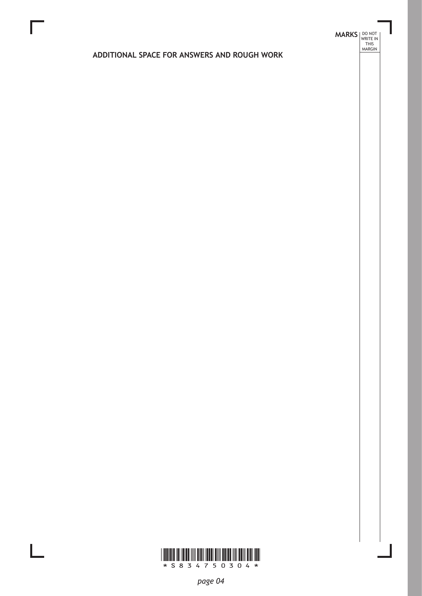# **MARKS DO NOT
WRITE IN** <br>
THIS
MARGIN

### **ADDITIONAL SPACE FOR ANSWERS AND ROUGH WORK**



*page 04*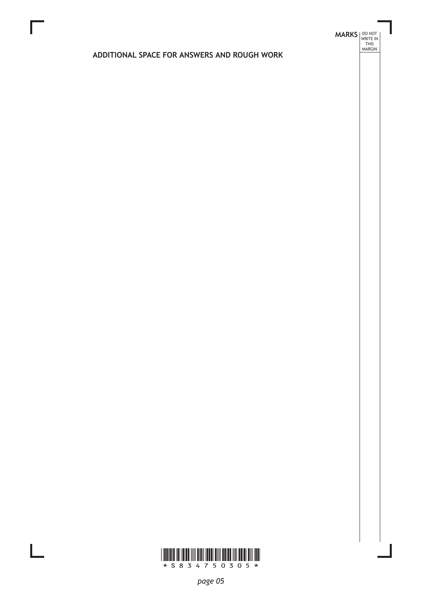# **MARKS DO NOT
WRITE IN** <br>
THIS
MARGIN

### **ADDITIONAL SPACE FOR ANSWERS AND ROUGH WORK**



*page 05*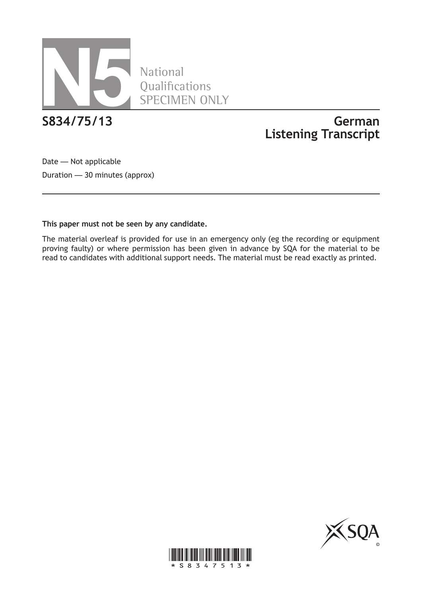

**National** Qualifications SPECIMEN ONLY

# **S834/75/13 German Listening Transcript**

Date — Not applicable Duration — 30 minutes (approx)

#### **This paper must not be seen by any candidate.**

The material overleaf is provided for use in an emergency only (eg the recording or equipment proving faulty) or where permission has been given in advance by SQA for the material to be read to candidates with additional support needs. The material must be read exactly as printed.



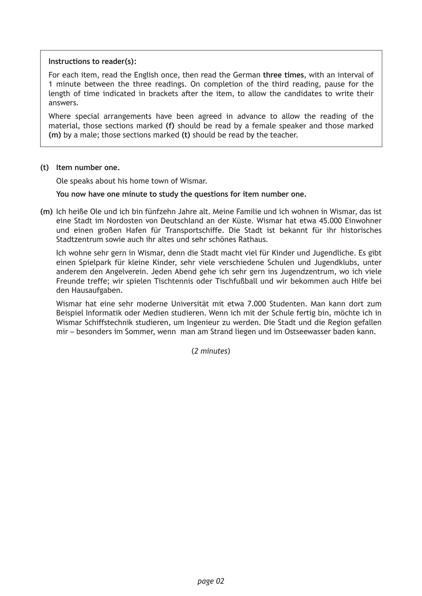#### **Instructions to reader(s):**

For each item, read the English once, then read the German **three times**, with an interval of 1 minute between the three readings. On completion of the third reading, pause for the length of time indicated in brackets after the item, to allow the candidates to write their answers.

Where special arrangements have been agreed in advance to allow the reading of the material, those sections marked **(f)** should be read by a female speaker and those marked **(m)** by a male; those sections marked **(t)** should be read by the teacher.

#### **(t) Item number one.**

Ole speaks about his home town of Wismar.

#### **You now have one minute to study the questions for item number one.**

**(m)** Ich heiße Ole und ich bin fünfzehn Jahre alt. Meine Familie und ich wohnen in Wismar, das ist eine Stadt im Nordosten von Deutschland an der Küste. Wismar hat etwa 45.000 Einwohner und einen großen Hafen für Transportschiffe. Die Stadt ist bekannt für ihr historisches Stadtzentrum sowie auch ihr altes und sehr schönes Rathaus.

Ich wohne sehr gern in Wismar, denn die Stadt macht viel für Kinder und Jugendliche. Es gibt einen Spielpark für kleine Kinder, sehr viele verschiedene Schulen und Jugendklubs, unter anderem den Angelverein. Jeden Abend gehe ich sehr gern ins Jugendzentrum, wo ich viele Freunde treffe; wir spielen Tischtennis oder Tischfußball und wir bekommen auch Hilfe bei den Hausaufgaben.

Wismar hat eine sehr moderne Universität mit etwa 7.000 Studenten. Man kann dort zum Beispiel Informatik oder Medien studieren. Wenn ich mit der Schule fertig bin, möchte ich in Wismar Schiffstechnik studieren, um Ingenieur zu werden. Die Stadt und die Region gefallen mir – besonders im Sommer, wenn man am Strand liegen und im Ostseewasser baden kann.

(*2 minutes*)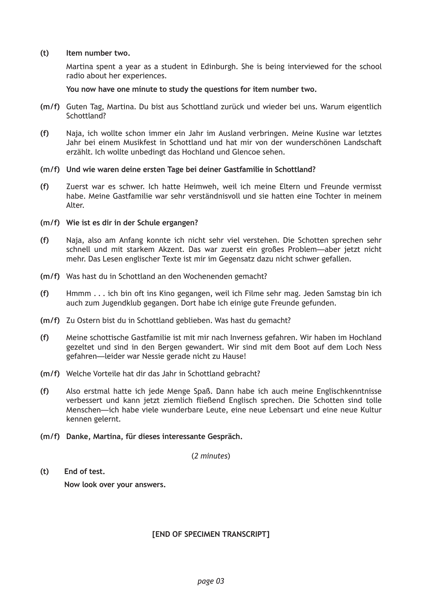#### **(t) Item number two.**

Martina spent a year as a student in Edinburgh. She is being interviewed for the school radio about her experiences.

**You now have one minute to study the questions for item number two.**

- **(m/f)** Guten Tag, Martina. Du bist aus Schottland zurück und wieder bei uns. Warum eigentlich Schottland?
- **(f)** Naja, ich wollte schon immer ein Jahr im Ausland verbringen. Meine Kusine war letztes Jahr bei einem Musikfest in Schottland und hat mir von der wunderschönen Landschaft erzählt. Ich wollte unbedingt das Hochland und Glencoe sehen.
- **(m/f) Und wie waren deine ersten Tage bei deiner Gastfamilie in Schottland?**
- **(f)** Zuerst war es schwer. Ich hatte Heimweh, weil ich meine Eltern und Freunde vermisst habe. Meine Gastfamilie war sehr verständnisvoll und sie hatten eine Tochter in meinem Alter.
- **(m/f) Wie ist es dir in der Schule ergangen?**
- **(f)** Naja, also am Anfang konnte ich nicht sehr viel verstehen. Die Schotten sprechen sehr schnell und mit starkem Akzent. Das war zuerst ein großes Problem—aber jetzt nicht mehr. Das Lesen englischer Texte ist mir im Gegensatz dazu nicht schwer gefallen.
- **(m/f)** Was hast du in Schottland an den Wochenenden gemacht?
- **(f)** Hmmm . . . ich bin oft ins Kino gegangen, weil ich Filme sehr mag. Jeden Samstag bin ich auch zum Jugendklub gegangen. Dort habe ich einige gute Freunde gefunden.
- **(m/f)** Zu Ostern bist du in Schottland geblieben. Was hast du gemacht?
- **(f)** Meine schottische Gastfamilie ist mit mir nach Inverness gefahren. Wir haben im Hochland gezeltet und sind in den Bergen gewandert. Wir sind mit dem Boot auf dem Loch Ness gefahren—leider war Nessie gerade nicht zu Hause!
- **(m/f)** Welche Vorteile hat dir das Jahr in Schottland gebracht?
- **(f)** Also erstmal hatte ich jede Menge Spaß. Dann habe ich auch meine Englischkenntnisse verbessert und kann jetzt ziemlich fließend Englisch sprechen. Die Schotten sind tolle Menschen—ich habe viele wunderbare Leute, eine neue Lebensart und eine neue Kultur kennen gelernt.
- **(m/f) Danke, Martina, für dieses interessante Gespräch.**

(*2 minutes*)

**(t) End of test. Now look over your answers.**

#### **[END OF SPECIMEN TRANSCRIPT]**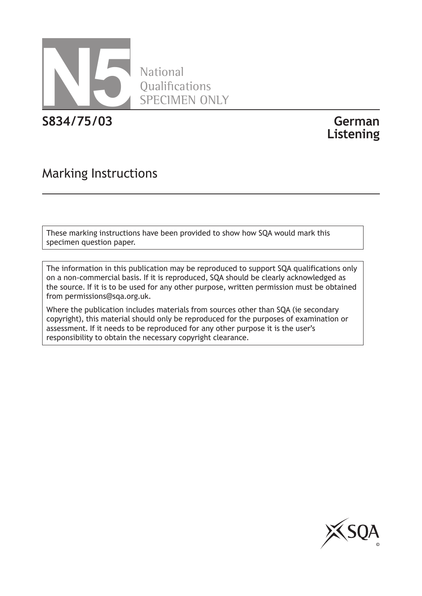

National **Oualifications** SPECIMEN ONLY

**S834/75/03 German**

**Listening**

# Marking Instructions

These marking instructions have been provided to show how SQA would mark this specimen question paper.

The information in this publication may be reproduced to support SQA qualifications only on a non-commercial basis. If it is reproduced, SQA should be clearly acknowledged as the source. If it is to be used for any other purpose, written permission must be obtained from permissions@sqa.org.uk.

Where the publication includes materials from sources other than SQA (ie secondary copyright), this material should only be reproduced for the purposes of examination or assessment. If it needs to be reproduced for any other purpose it is the user's responsibility to obtain the necessary copyright clearance.

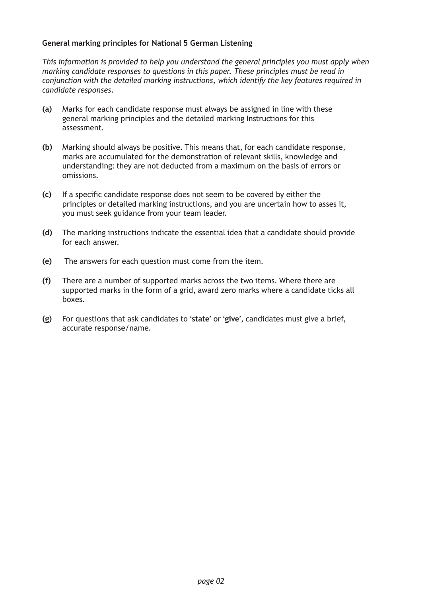#### **General marking principles for National 5 German Listening**

*This information is provided to help you understand the general principles you must apply when marking candidate responses to questions in this paper. These principles must be read in conjunction with the detailed marking instructions, which identify the key features required in candidate responses.*

- **(a)** Marks for each candidate response must always be assigned in line with these general marking principles and the detailed marking Instructions for this assessment.
- **(b)** Marking should always be positive. This means that, for each candidate response, marks are accumulated for the demonstration of relevant skills, knowledge and understanding: they are not deducted from a maximum on the basis of errors or omissions.
- **(c)** If a specific candidate response does not seem to be covered by either the principles or detailed marking instructions, and you are uncertain how to asses it, you must seek guidance from your team leader.
- **(d)** The marking instructions indicate the essential idea that a candidate should provide for each answer.
- **(e)** The answers for each question must come from the item.
- **(f)** There are a number of supported marks across the two items. Where there are supported marks in the form of a grid, award zero marks where a candidate ticks all boxes.
- **(g)** For questions that ask candidates to '**state**' or '**give**', candidates must give a brief, accurate response/name.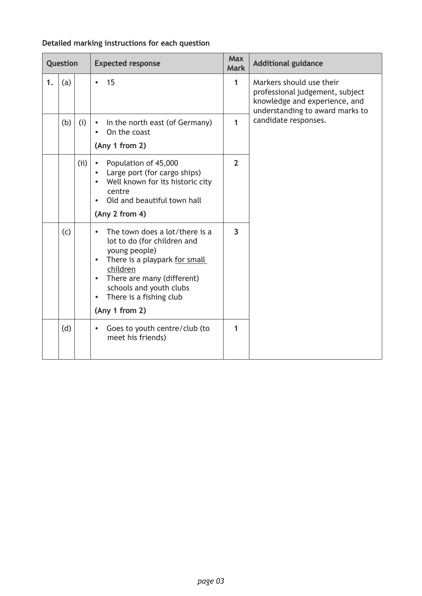## **Detailed marking instructions for each question**

| Question |     |     | <b>Expected response</b>                                                                                                                                                                                                                                                 |                | <b>Additional guidance</b>                                                                                                      |
|----------|-----|-----|--------------------------------------------------------------------------------------------------------------------------------------------------------------------------------------------------------------------------------------------------------------------------|----------------|---------------------------------------------------------------------------------------------------------------------------------|
| 1.       | (a) | 15  |                                                                                                                                                                                                                                                                          | 1              | Markers should use their<br>professional judgement, subject<br>knowledge and experience, and<br>understanding to award marks to |
|          | (b) | (i) | In the north east (of Germany)<br>$\bullet$<br>On the coast<br>$\bullet$<br>(Any 1 from 2)                                                                                                                                                                               | 1              | candidate responses.                                                                                                            |
|          |     | (i) | Population of 45,000<br>$\bullet$<br>Large port (for cargo ships)<br>Well known for its historic city<br>$\bullet$<br>centre<br>Old and beautiful town hall<br>$\bullet$<br>(Any 2 from 4)                                                                               | $\overline{2}$ |                                                                                                                                 |
|          | (c) |     | The town does a lot/there is a<br>lot to do (for children and<br>young people)<br>There is a playpark for small<br>$\bullet$<br>children<br>There are many (different)<br>$\bullet$<br>schools and youth clubs<br>There is a fishing club<br>$\bullet$<br>(Any 1 from 2) | $\overline{3}$ |                                                                                                                                 |
|          | (d) |     | Goes to youth centre/club (to<br>$\bullet$<br>meet his friends)                                                                                                                                                                                                          | 1              |                                                                                                                                 |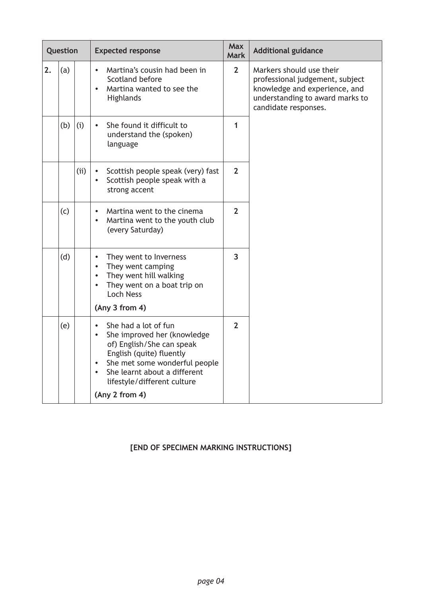|    | Question |     | <b>Expected response</b>                                                                                                                                                                                                                                 |                | <b>Additional guidance</b>                                                                                                                              |
|----|----------|-----|----------------------------------------------------------------------------------------------------------------------------------------------------------------------------------------------------------------------------------------------------------|----------------|---------------------------------------------------------------------------------------------------------------------------------------------------------|
| 2. | (a)      |     | Martina's cousin had been in<br>$\bullet$<br>Scotland before<br>Martina wanted to see the<br>$\bullet$<br>Highlands                                                                                                                                      |                | Markers should use their<br>professional judgement, subject<br>knowledge and experience, and<br>understanding to award marks to<br>candidate responses. |
|    | (b)      | (i) | She found it difficult to<br>$\bullet$<br>understand the (spoken)<br>language                                                                                                                                                                            | $\mathbf{1}$   |                                                                                                                                                         |
|    |          | (i) | Scottish people speak (very) fast<br>$\bullet$<br>Scottish people speak with a<br>strong accent                                                                                                                                                          | $\overline{2}$ |                                                                                                                                                         |
|    | (c)      |     | Martina went to the cinema<br>$\bullet$<br>Martina went to the youth club<br>$\bullet$<br>(every Saturday)                                                                                                                                               | $\overline{2}$ |                                                                                                                                                         |
|    | (d)      |     | They went to Inverness<br>$\bullet$<br>They went camping<br>$\bullet$<br>They went hill walking<br>$\bullet$<br>They went on a boat trip on<br>$\bullet$<br><b>Loch Ness</b><br>(Any 3 from 4)                                                           | $\overline{3}$ |                                                                                                                                                         |
|    | (e)      |     | She had a lot of fun<br>She improved her (knowledge<br>$\bullet$<br>of) English/She can speak<br>English (quite) fluently<br>She met some wonderful people<br>$\bullet$<br>She learnt about a different<br>lifestyle/different culture<br>(Any 2 from 4) | $\overline{2}$ |                                                                                                                                                         |

## **[END OF SPECIMEN MARKING INSTRUCTIONS]**